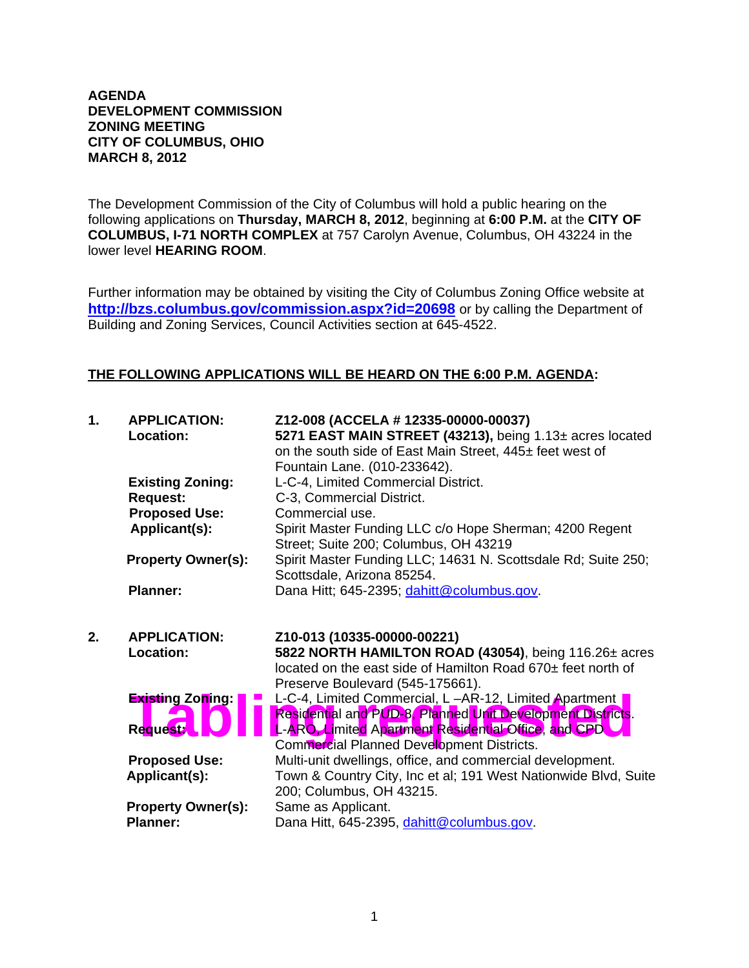## **AGENDA DEVELOPMENT COMMISSION ZONING MEETING CITY OF COLUMBUS, OHIO MARCH 8, 2012**

The Development Commission of the City of Columbus will hold a public hearing on the following applications on **Thursday, MARCH 8, 2012**, beginning at **6:00 P.M.** at the **CITY OF COLUMBUS, I-71 NORTH COMPLEX** at 757 Carolyn Avenue, Columbus, OH 43224 in the lower level **HEARING ROOM**.

Further information may be obtained by visiting the City of Columbus Zoning Office website at **http://bzs.columbus.gov/commission.aspx?id=20698** or by calling the Department of Building and Zoning Services, Council Activities section at 645-4522.

## **THE FOLLOWING APPLICATIONS WILL BE HEARD ON THE 6:00 P.M. AGENDA:**

| 1. | <b>APPLICATION:</b><br>Location:        | Z12-008 (ACCELA # 12335-00000-00037)<br>5271 EAST MAIN STREET (43213), being 1.13± acres located<br>on the south side of East Main Street, 445± feet west of<br>Fountain Lane. (010-233642).          |
|----|-----------------------------------------|-------------------------------------------------------------------------------------------------------------------------------------------------------------------------------------------------------|
|    | <b>Existing Zoning:</b>                 | L-C-4, Limited Commercial District.                                                                                                                                                                   |
|    | <b>Request:</b>                         | C-3, Commercial District.                                                                                                                                                                             |
|    | <b>Proposed Use:</b>                    | Commercial use.                                                                                                                                                                                       |
|    | Applicant(s):                           | Spirit Master Funding LLC c/o Hope Sherman; 4200 Regent<br>Street; Suite 200; Columbus, OH 43219                                                                                                      |
|    | <b>Property Owner(s):</b>               | Spirit Master Funding LLC; 14631 N. Scottsdale Rd; Suite 250;<br>Scottsdale, Arizona 85254.                                                                                                           |
|    | <b>Planner:</b>                         | Dana Hitt; 645-2395; dahitt@columbus.gov.                                                                                                                                                             |
|    |                                         |                                                                                                                                                                                                       |
| 2. | <b>APPLICATION:</b><br><b>Location:</b> | Z10-013 (10335-00000-00221)<br>5822 NORTH HAMILTON ROAD (43054), being 116.26± acres<br>located on the east side of Hamilton Road 670± feet north of                                                  |
|    | <b>Existing Zoning:</b>                 | Preserve Boulevard (545-175661).<br>L-C-4, Limited Commercial, L-AR-12, Limited Apartment<br>Residential and PUD-8, Planned Unit Development Districts.                                               |
|    | <b>Request:</b>                         | L-ARO, Limited Apartment Residential Office, and CPD                                                                                                                                                  |
|    | <b>Proposed Use:</b><br>Applicant(s):   | Commercial Planned Development Districts.<br>Multi-unit dwellings, office, and commercial development.<br>Town & Country City, Inc et al; 191 West Nationwide Blvd, Suite<br>200; Columbus, OH 43215. |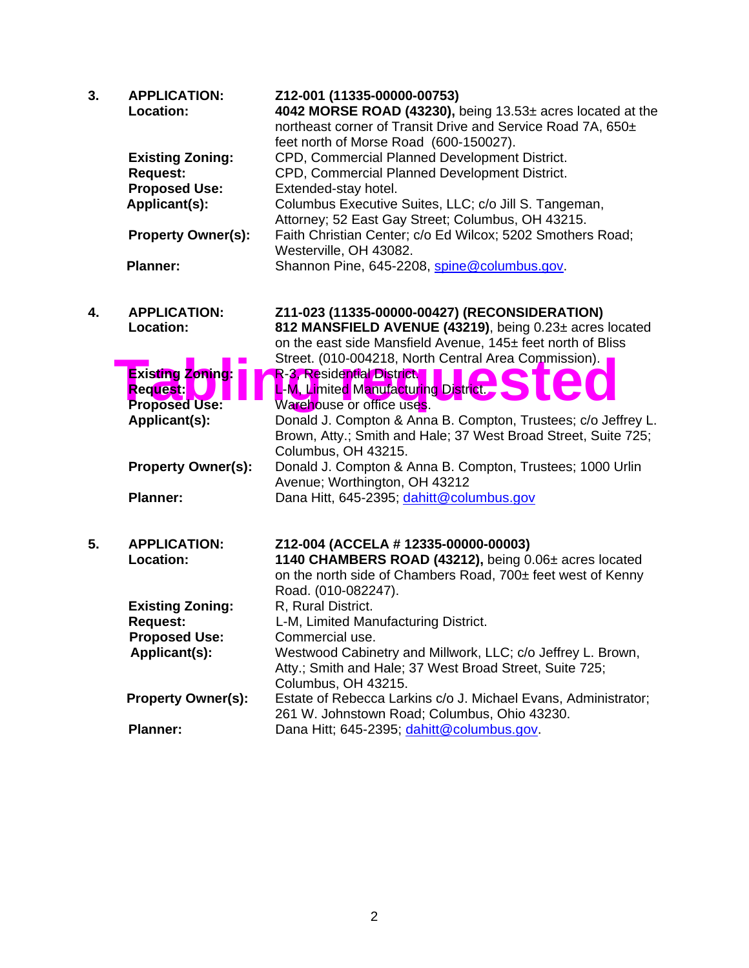| 3. | <b>APPLICATION:</b><br>Location: | Z12-001 (11335-00000-00753)<br>4042 MORSE ROAD (43230), being 13.53± acres located at the<br>northeast corner of Transit Drive and Service Road 7A, 650±<br>feet north of Morse Road (600-150027). |
|----|----------------------------------|----------------------------------------------------------------------------------------------------------------------------------------------------------------------------------------------------|
|    | <b>Existing Zoning:</b>          | CPD, Commercial Planned Development District.                                                                                                                                                      |
|    | <b>Request:</b>                  | CPD, Commercial Planned Development District.                                                                                                                                                      |
|    | <b>Proposed Use:</b>             | Extended-stay hotel.                                                                                                                                                                               |
|    | Applicant(s):                    | Columbus Executive Suites, LLC; c/o Jill S. Tangeman,                                                                                                                                              |
|    |                                  | Attorney; 52 East Gay Street; Columbus, OH 43215.                                                                                                                                                  |
|    | <b>Property Owner(s):</b>        | Faith Christian Center; c/o Ed Wilcox; 5202 Smothers Road;<br>Westerville, OH 43082.                                                                                                               |
|    | <b>Planner:</b>                  | Shannon Pine, 645-2208, spine@columbus.gov.                                                                                                                                                        |
| 4. | <b>APPLICATION:</b>              | Z11-023 (11335-00000-00427) (RECONSIDERATION)                                                                                                                                                      |
|    | Location:                        | 812 MANSFIELD AVENUE (43219), being 0.23± acres located                                                                                                                                            |
|    |                                  | on the east side Mansfield Avenue, 145± feet north of Bliss                                                                                                                                        |
|    |                                  | Street. (010-004218, North Central Area Commission).                                                                                                                                               |
|    | <b>Existing Zoning:</b>          | R-3, Residential District                                                                                                                                                                          |
|    | <b>Request:</b>                  | L-M, Limited Manufacturing District.                                                                                                                                                               |
|    | <b>Proposed Use:</b>             | Warehouse or office uses.                                                                                                                                                                          |
|    | Applicant(s):                    | Donald J. Compton & Anna B. Compton, Trustees; c/o Jeffrey L.                                                                                                                                      |
|    |                                  | Brown, Atty.; Smith and Hale; 37 West Broad Street, Suite 725;                                                                                                                                     |
|    |                                  | Columbus, OH 43215.                                                                                                                                                                                |
|    | <b>Property Owner(s):</b>        | Donald J. Compton & Anna B. Compton, Trustees; 1000 Urlin                                                                                                                                          |
|    |                                  | Avenue; Worthington, OH 43212                                                                                                                                                                      |
|    | <b>Planner:</b>                  | Dana Hitt, 645-2395; dahitt@columbus.gov                                                                                                                                                           |
| 5. | <b>APPLICATION:</b>              | Z12-004 (ACCELA # 12335-00000-00003)                                                                                                                                                               |
|    | Location:                        | 1140 CHAMBERS ROAD (43212), being 0.06± acres located                                                                                                                                              |
|    |                                  | on the north side of Chambers Road, 700± feet west of Kenny                                                                                                                                        |
|    |                                  | Road. (010-082247).                                                                                                                                                                                |
|    | <b>Existing Zoning:</b>          | R, Rural District.                                                                                                                                                                                 |
|    | <b>Request:</b>                  | L-M, Limited Manufacturing District.                                                                                                                                                               |
|    | <b>Proposed Use:</b>             | Commercial use.                                                                                                                                                                                    |
|    | Applicant(s):                    | Westwood Cabinetry and Millwork, LLC; c/o Jeffrey L. Brown,                                                                                                                                        |
|    |                                  | Atty.; Smith and Hale; 37 West Broad Street, Suite 725;                                                                                                                                            |
|    |                                  | Columbus, OH 43215.                                                                                                                                                                                |
|    | <b>Property Owner(s):</b>        | Estate of Rebecca Larkins c/o J. Michael Evans, Administrator;<br>261 W. Johnstown Road; Columbus, Ohio 43230.                                                                                     |
|    | <b>Planner:</b>                  | Dana Hitt; 645-2395; dahitt@columbus.gov.                                                                                                                                                          |